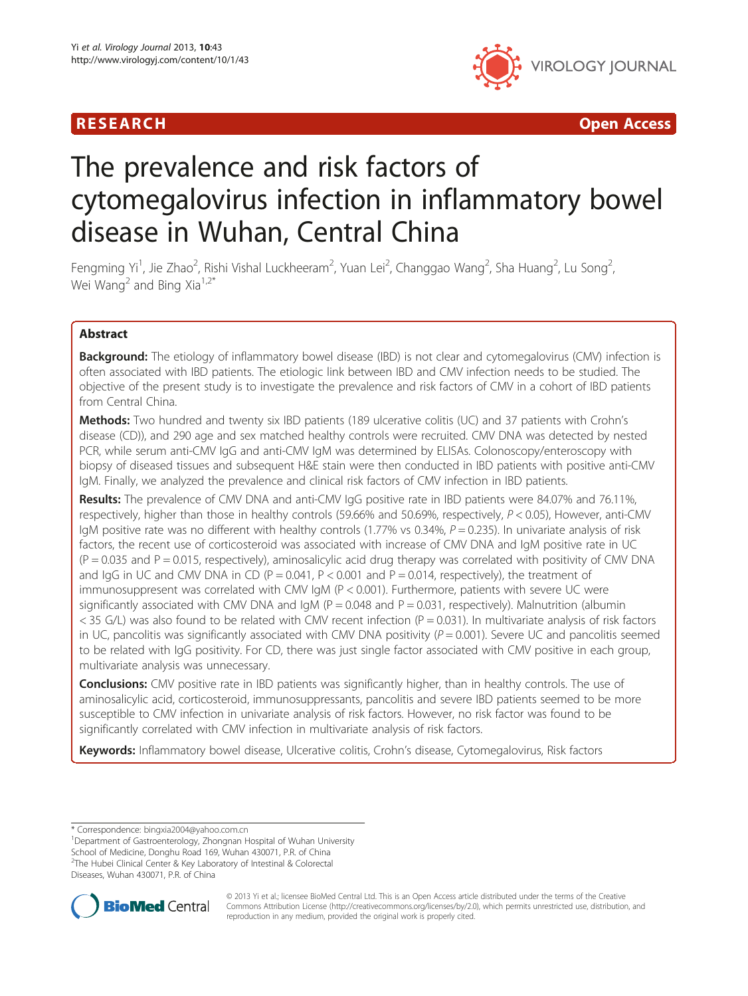

R E S EAR CH Open Access

# The prevalence and risk factors of cytomegalovirus infection in inflammatory bowel disease in Wuhan, Central China

Fengming Yi<sup>1</sup>, Jie Zhao<sup>2</sup>, Rishi Vishal Luckheeram<sup>2</sup>, Yuan Lei<sup>2</sup>, Changgao Wang<sup>2</sup>, Sha Huang<sup>2</sup>, Lu Song<sup>2</sup> , Wei Wang<sup>2</sup> and Bing Xia<sup>1,2\*</sup>

# Abstract

Background: The etiology of inflammatory bowel disease (IBD) is not clear and cytomegalovirus (CMV) infection is often associated with IBD patients. The etiologic link between IBD and CMV infection needs to be studied. The objective of the present study is to investigate the prevalence and risk factors of CMV in a cohort of IBD patients from Central China.

**Methods:** Two hundred and twenty six IBD patients (189 ulcerative colitis (UC) and 37 patients with Crohn's disease (CD)), and 290 age and sex matched healthy controls were recruited. CMV DNA was detected by nested PCR, while serum anti-CMV IgG and anti-CMV IgM was determined by ELISAs. Colonoscopy/enteroscopy with biopsy of diseased tissues and subsequent H&E stain were then conducted in IBD patients with positive anti-CMV IgM. Finally, we analyzed the prevalence and clinical risk factors of CMV infection in IBD patients.

Results: The prevalence of CMV DNA and anti-CMV IgG positive rate in IBD patients were 84.07% and 76.11%, respectively, higher than those in healthy controls (59.66% and 50.69%, respectively, P < 0.05), However, anti-CMV IgM positive rate was no different with healthy controls (1.77% vs 0.34%,  $P = 0.235$ ). In univariate analysis of risk factors, the recent use of corticosteroid was associated with increase of CMV DNA and IgM positive rate in UC  $(P = 0.035$  and P = 0.015, respectively), aminosalicylic acid drug therapy was correlated with positivity of CMV DNA and IgG in UC and CMV DNA in CD ( $P = 0.041$ ,  $P < 0.001$  and  $P = 0.014$ , respectively), the treatment of immunosuppresent was correlated with CMV IgM (P < 0.001). Furthermore, patients with severe UC were significantly associated with CMV DNA and  $IgM$  ( $P = 0.048$  and  $P = 0.031$ , respectively). Malnutrition (albumin  $<$  35 G/L) was also found to be related with CMV recent infection (P = 0.031). In multivariate analysis of risk factors in UC, pancolitis was significantly associated with CMV DNA positivity  $(P = 0.001)$ . Severe UC and pancolitis seemed to be related with IgG positivity. For CD, there was just single factor associated with CMV positive in each group, multivariate analysis was unnecessary.

**Conclusions:** CMV positive rate in IBD patients was significantly higher, than in healthy controls. The use of aminosalicylic acid, corticosteroid, immunosuppressants, pancolitis and severe IBD patients seemed to be more susceptible to CMV infection in univariate analysis of risk factors. However, no risk factor was found to be significantly correlated with CMV infection in multivariate analysis of risk factors.

Keywords: Inflammatory bowel disease, Ulcerative colitis, Crohn's disease, Cytomegalovirus, Risk factors

\* Correspondence: [bingxia2004@yahoo.com.cn](mailto:bingxia2004@yahoo.com.cn) <sup>1</sup>

Department of Gastroenterology, Zhongnan Hospital of Wuhan University

School of Medicine, Donghu Road 169, Wuhan 430071, P.R. of China <sup>2</sup>The Hubei Clinical Center & Key Laboratory of Intestinal & Colorectal

Diseases, Wuhan 430071, P.R. of China



© 2013 Yi et al.; licensee BioMed Central Ltd. This is an Open Access article distributed under the terms of the Creative Commons Attribution License [\(http://creativecommons.org/licenses/by/2.0\)](http://creativecommons.org/licenses/by/2.0), which permits unrestricted use, distribution, and reproduction in any medium, provided the original work is properly cited.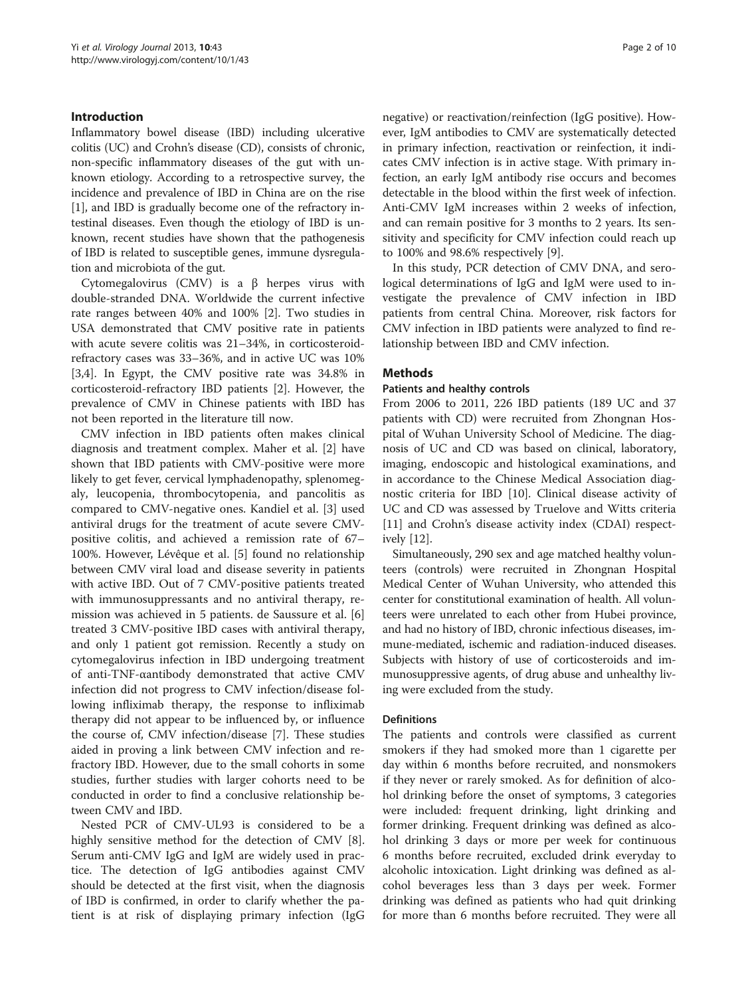# Introduction

Inflammatory bowel disease (IBD) including ulcerative colitis (UC) and Crohn's disease (CD), consists of chronic, non-specific inflammatory diseases of the gut with unknown etiology. According to a retrospective survey, the incidence and prevalence of IBD in China are on the rise [[1\]](#page-8-0), and IBD is gradually become one of the refractory intestinal diseases. Even though the etiology of IBD is unknown, recent studies have shown that the pathogenesis of IBD is related to susceptible genes, immune dysregulation and microbiota of the gut.

Cytomegalovirus (CMV) is a β herpes virus with double-stranded DNA. Worldwide the current infective rate ranges between 40% and 100% [\[2](#page-8-0)]. Two studies in USA demonstrated that CMV positive rate in patients with acute severe colitis was 21–34%, in corticosteroidrefractory cases was 33–36%, and in active UC was 10% [[3,4\]](#page-8-0). In Egypt, the CMV positive rate was 34.8% in corticosteroid-refractory IBD patients [[2\]](#page-8-0). However, the prevalence of CMV in Chinese patients with IBD has not been reported in the literature till now.

CMV infection in IBD patients often makes clinical diagnosis and treatment complex. Maher et al. [\[2\]](#page-8-0) have shown that IBD patients with CMV-positive were more likely to get fever, cervical lymphadenopathy, splenomegaly, leucopenia, thrombocytopenia, and pancolitis as compared to CMV-negative ones. Kandiel et al. [\[3](#page-8-0)] used antiviral drugs for the treatment of acute severe CMVpositive colitis, and achieved a remission rate of 67– 100%. However, Lévêque et al. [\[5](#page-8-0)] found no relationship between CMV viral load and disease severity in patients with active IBD. Out of 7 CMV-positive patients treated with immunosuppressants and no antiviral therapy, remission was achieved in 5 patients. de Saussure et al. [\[6](#page-9-0)] treated 3 CMV-positive IBD cases with antiviral therapy, and only 1 patient got remission. Recently a study on cytomegalovirus infection in IBD undergoing treatment of anti-TNF-αantibody demonstrated that active CMV infection did not progress to CMV infection/disease following infliximab therapy, the response to infliximab therapy did not appear to be influenced by, or influence the course of, CMV infection/disease [[7\]](#page-9-0). These studies aided in proving a link between CMV infection and refractory IBD. However, due to the small cohorts in some studies, further studies with larger cohorts need to be conducted in order to find a conclusive relationship between CMV and IBD.

Nested PCR of CMV-UL93 is considered to be a highly sensitive method for the detection of CMV [\[8](#page-9-0)]. Serum anti-CMV IgG and IgM are widely used in practice. The detection of IgG antibodies against CMV should be detected at the first visit, when the diagnosis of IBD is confirmed, in order to clarify whether the patient is at risk of displaying primary infection (IgG

negative) or reactivation/reinfection (IgG positive). However, IgM antibodies to CMV are systematically detected in primary infection, reactivation or reinfection, it indicates CMV infection is in active stage. With primary infection, an early IgM antibody rise occurs and becomes detectable in the blood within the first week of infection. Anti-CMV IgM increases within 2 weeks of infection, and can remain positive for 3 months to 2 years. Its sensitivity and specificity for CMV infection could reach up to 100% and 98.6% respectively [[9\]](#page-9-0).

In this study, PCR detection of CMV DNA, and serological determinations of IgG and IgM were used to investigate the prevalence of CMV infection in IBD patients from central China. Moreover, risk factors for CMV infection in IBD patients were analyzed to find relationship between IBD and CMV infection.

# **Methods**

# Patients and healthy controls

From 2006 to 2011, 226 IBD patients (189 UC and 37 patients with CD) were recruited from Zhongnan Hospital of Wuhan University School of Medicine. The diagnosis of UC and CD was based on clinical, laboratory, imaging, endoscopic and histological examinations, and in accordance to the Chinese Medical Association diagnostic criteria for IBD [[10\]](#page-9-0). Clinical disease activity of UC and CD was assessed by Truelove and Witts criteria [[11\]](#page-9-0) and Crohn's disease activity index (CDAI) respectively [\[12](#page-9-0)].

Simultaneously, 290 sex and age matched healthy volunteers (controls) were recruited in Zhongnan Hospital Medical Center of Wuhan University, who attended this center for constitutional examination of health. All volunteers were unrelated to each other from Hubei province, and had no history of IBD, chronic infectious diseases, immune-mediated, ischemic and radiation-induced diseases. Subjects with history of use of corticosteroids and immunosuppressive agents, of drug abuse and unhealthy living were excluded from the study.

# **Definitions**

The patients and controls were classified as current smokers if they had smoked more than 1 cigarette per day within 6 months before recruited, and nonsmokers if they never or rarely smoked. As for definition of alcohol drinking before the onset of symptoms, 3 categories were included: frequent drinking, light drinking and former drinking. Frequent drinking was defined as alcohol drinking 3 days or more per week for continuous 6 months before recruited, excluded drink everyday to alcoholic intoxication. Light drinking was defined as alcohol beverages less than 3 days per week. Former drinking was defined as patients who had quit drinking for more than 6 months before recruited. They were all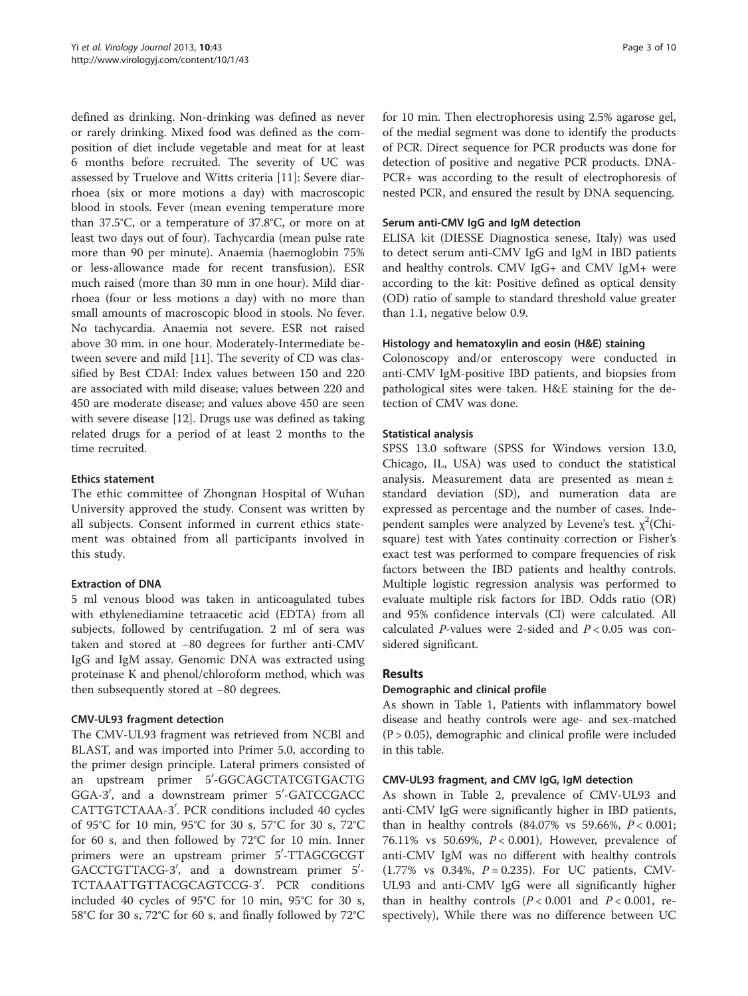defined as drinking. Non-drinking was defined as never or rarely drinking. Mixed food was defined as the composition of diet include vegetable and meat for at least 6 months before recruited. The severity of UC was assessed by Truelove and Witts criteria [[11\]](#page-9-0): Severe diarrhoea (six or more motions a day) with macroscopic blood in stools. Fever (mean evening temperature more than 37.5°C, or a temperature of 37.8°C, or more on at least two days out of four). Tachycardia (mean pulse rate more than 90 per minute). Anaemia (haemoglobin 75% or less-allowance made for recent transfusion). ESR much raised (more than 30 mm in one hour). Mild diarrhoea (four or less motions a day) with no more than small amounts of macroscopic blood in stools. No fever. No tachycardia. Anaemia not severe. ESR not raised above 30 mm. in one hour. Moderately-Intermediate between severe and mild [[11\]](#page-9-0). The severity of CD was classified by Best CDAI: Index values between 150 and 220 are associated with mild disease; values between 220 and 450 are moderate disease; and values above 450 are seen with severe disease [[12](#page-9-0)]. Drugs use was defined as taking related drugs for a period of at least 2 months to the time recruited.

# Ethics statement

The ethic committee of Zhongnan Hospital of Wuhan University approved the study. Consent was written by all subjects. Consent informed in current ethics statement was obtained from all participants involved in this study.

# Extraction of DNA

5 ml venous blood was taken in anticoagulated tubes with ethylenediamine tetraacetic acid (EDTA) from all subjects, followed by centrifugation. 2 ml of sera was taken and stored at −80 degrees for further anti-CMV IgG and IgM assay. Genomic DNA was extracted using proteinase K and phenol/chloroform method, which was then subsequently stored at −80 degrees.

# CMV-UL93 fragment detection

The CMV-UL93 fragment was retrieved from NCBI and BLAST, and was imported into Primer 5.0, according to the primer design principle. Lateral primers consisted of an upstream primer 5′-GGCAGCTATCGTGACTG GGA-3', and a downstream primer 5'-GATCCGACC CATTGTCTAAA-3'. PCR conditions included 40 cycles of 95°C for 10 min, 95°C for 30 s, 57°C for 30 s, 72°C for 60 s, and then followed by 72°C for 10 min. Inner primers were an upstream primer 5'-TTAGCGCGT GACCTGTTACG-3', and a downstream primer 5'-TCTAAATTGTTACGCAGTCCG-3'. PCR conditions included 40 cycles of 95°C for 10 min, 95°C for 30 s, 58°C for 30 s, 72°C for 60 s, and finally followed by 72°C for 10 min. Then electrophoresis using 2.5% agarose gel, of the medial segment was done to identify the products of PCR. Direct sequence for PCR products was done for detection of positive and negative PCR products. DNA-PCR+ was according to the result of electrophoresis of nested PCR, and ensured the result by DNA sequencing.

# Serum anti-CMV IgG and IgM detection

ELISA kit (DIESSE Diagnostica senese, Italy) was used to detect serum anti-CMV IgG and IgM in IBD patients and healthy controls. CMV IgG+ and CMV IgM+ were according to the kit: Positive defined as optical density (OD) ratio of sample to standard threshold value greater than 1.1, negative below 0.9.

# Histology and hematoxylin and eosin (H&E) staining

Colonoscopy and/or enteroscopy were conducted in anti-CMV IgM-positive IBD patients, and biopsies from pathological sites were taken. H&E staining for the detection of CMV was done.

# Statistical analysis

SPSS 13.0 software (SPSS for Windows version 13.0, Chicago, IL, USA) was used to conduct the statistical analysis. Measurement data are presented as mean ± standard deviation (SD), and numeration data are expressed as percentage and the number of cases. Independent samples were analyzed by Levene's test.  $\chi^2$ (Chisquare) test with Yates continuity correction or Fisher's exact test was performed to compare frequencies of risk factors between the IBD patients and healthy controls. Multiple logistic regression analysis was performed to evaluate multiple risk factors for IBD. Odds ratio (OR) and 95% confidence intervals (CI) were calculated. All calculated  $P$ -values were 2-sided and  $P < 0.05$  was considered significant.

# Results

# Demographic and clinical profile

As shown in Table [1,](#page-3-0) Patients with inflammatory bowel disease and heathy controls were age- and sex-matched  $(P > 0.05)$ , demographic and clinical profile were included in this table.

# CMV-UL93 fragment, and CMV IgG, IgM detection

As shown in Table [2](#page-3-0), prevalence of CMV-UL93 and anti-CMV IgG were significantly higher in IBD patients, than in healthy controls  $(84.07\% \text{ vs } 59.66\%, P < 0.001;$ 76.11% vs 50.69%, P < 0.001), However, prevalence of anti-CMV IgM was no different with healthy controls  $(1.77\% \text{ vs } 0.34\%, P = 0.235)$ . For UC patients, CMV-UL93 and anti-CMV IgG were all significantly higher than in healthy controls  $(P < 0.001$  and  $P < 0.001$ , respectively), While there was no difference between UC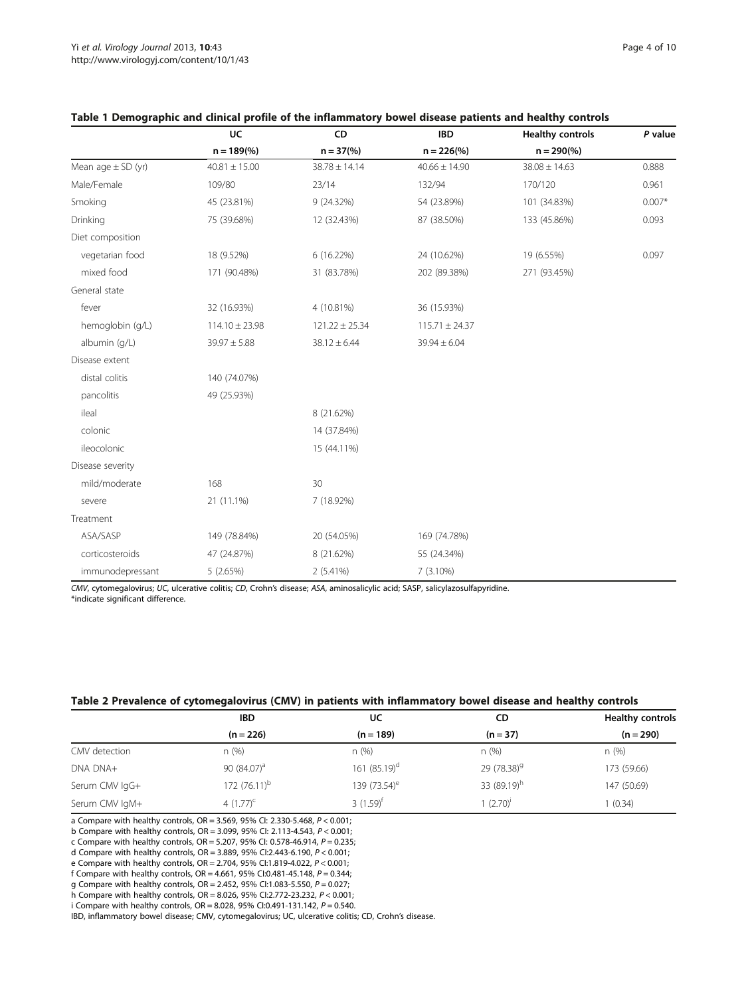|                        | UC                 | CD                  | <b>IBD</b>           | <b>Healthy controls</b> | P value  |
|------------------------|--------------------|---------------------|----------------------|-------------------------|----------|
|                        | $n = 189\%$        | $n = 37\frac{6}{6}$ | $n = 226\frac{6}{6}$ | $n = 290\%$             |          |
| Mean age $\pm$ SD (yr) | $40.81 \pm 15.00$  | $38.78 \pm 14.14$   | $40.66 \pm 14.90$    | $38.08 \pm 14.63$       | 0.888    |
| Male/Female            | 109/80             | 23/14               | 132/94               | 170/120                 | 0.961    |
| Smoking                | 45 (23.81%)        | 9 (24.32%)          | 54 (23.89%)          | 101 (34.83%)            | $0.007*$ |
| Drinking               | 75 (39.68%)        | 12 (32.43%)         | 87 (38.50%)          | 133 (45.86%)            | 0.093    |
| Diet composition       |                    |                     |                      |                         |          |
| vegetarian food        | 18 (9.52%)         | 6 (16.22%)          | 24 (10.62%)          | 19 (6.55%)              | 0.097    |
| mixed food             | 171 (90.48%)       | 31 (83.78%)         | 202 (89.38%)         | 271 (93.45%)            |          |
| General state          |                    |                     |                      |                         |          |
| fever                  | 32 (16.93%)        | 4 (10.81%)          | 36 (15.93%)          |                         |          |
| hemoglobin (g/L)       | $114.10 \pm 23.98$ | $121.22 \pm 25.34$  | $115.71 \pm 24.37$   |                         |          |
| albumin (g/L)          | $39.97 \pm 5.88$   | $38.12 \pm 6.44$    | $39.94 \pm 6.04$     |                         |          |
| Disease extent         |                    |                     |                      |                         |          |
| distal colitis         | 140 (74.07%)       |                     |                      |                         |          |
| pancolitis             | 49 (25.93%)        |                     |                      |                         |          |
| ileal                  |                    | 8 (21.62%)          |                      |                         |          |
| colonic                |                    | 14 (37.84%)         |                      |                         |          |
| ileocolonic            |                    | 15 (44.11%)         |                      |                         |          |
| Disease severity       |                    |                     |                      |                         |          |
| mild/moderate          | 168                | 30                  |                      |                         |          |
| severe                 | 21 (11.1%)         | 7 (18.92%)          |                      |                         |          |
| Treatment              |                    |                     |                      |                         |          |
| ASA/SASP               | 149 (78.84%)       | 20 (54.05%)         | 169 (74.78%)         |                         |          |
| corticosteroids        | 47 (24.87%)        | 8 (21.62%)          | 55 (24.34%)          |                         |          |
| immunodepressant       | 5 (2.65%)          | 2 (5.41%)           | 7 (3.10%)            |                         |          |

# <span id="page-3-0"></span>Table 1 Demographic and clinical profile of the inflammatory bowel disease patients and healthy controls

CMV, cytomegalovirus; UC, ulcerative colitis; CD, Crohn's disease; ASA, aminosalicylic acid; SASP, salicylazosulfapyridine. \*indicate significant difference.

# Table 2 Prevalence of cytomegalovirus (CMV) in patients with inflammatory bowel disease and healthy controls

|                | <b>IBD</b>      | UC                       | CD                      | <b>Healthy controls</b> |
|----------------|-----------------|--------------------------|-------------------------|-------------------------|
|                | $(n = 226)$     | $(n = 189)$              | $(n = 37)$              | $(n = 290)$             |
| CMV detection  | n(%)            | n(%)                     | n(%)                    | n (%)                   |
| DNA DNA+       | 90 $(84.07)^a$  | 161 $(85.19)^d$          | 29 (78.38) <sup>9</sup> | 173 (59.66)             |
| Serum CMV IgG+ | 172 $(76.11)^b$ | 139 (73.54) <sup>e</sup> | 33 (89.19) <sup>h</sup> | 147 (50.69)             |
| Serum CMV IgM+ | 4 $(1.77)^c$    | 3 $(1.59)$ <sup>f</sup>  | $1(2.70)^{i}$           | (0.34)                  |

a Compare with healthy controls, OR = 3.569, 95% CI: 2.330-5.468, P < 0.001;

b Compare with healthy controls, OR = 3.099, 95% CI: 2.113-4.543, P < 0.001;

c Compare with healthy controls, OR = 5.207, 95% CI: 0.578-46.914,  $P = 0.235$ ;

d Compare with healthy controls, OR = 3.889, 95% CI:2.443-6.190,  $P < 0.001$ ; e Compare with healthy controls, OR = 2.704, 95% CI:1.819-4.022,  $P < 0.001$ ;

e Compare with healthy controls, OR = 2.704, 95% CI:1.819-4.022, P < 0.001;

f Compare with healthy controls, OR = 4.661, 95% CI:0.481-45.148, P = 0.344;

g Compare with healthy controls, OR = 2.452, 95% CI:1.083-5.550, P = 0.027;

h Compare with healthy controls, OR = 8.026, 95% CI:2.772-23.232, P < 0.001;

i Compare with healthy controls, OR = 8.028, 95% CI:0.491-131.142,  $P = 0.540$ .

IBD, inflammatory bowel disease; CMV, cytomegalovirus; UC, ulcerative colitis; CD, Crohn's disease.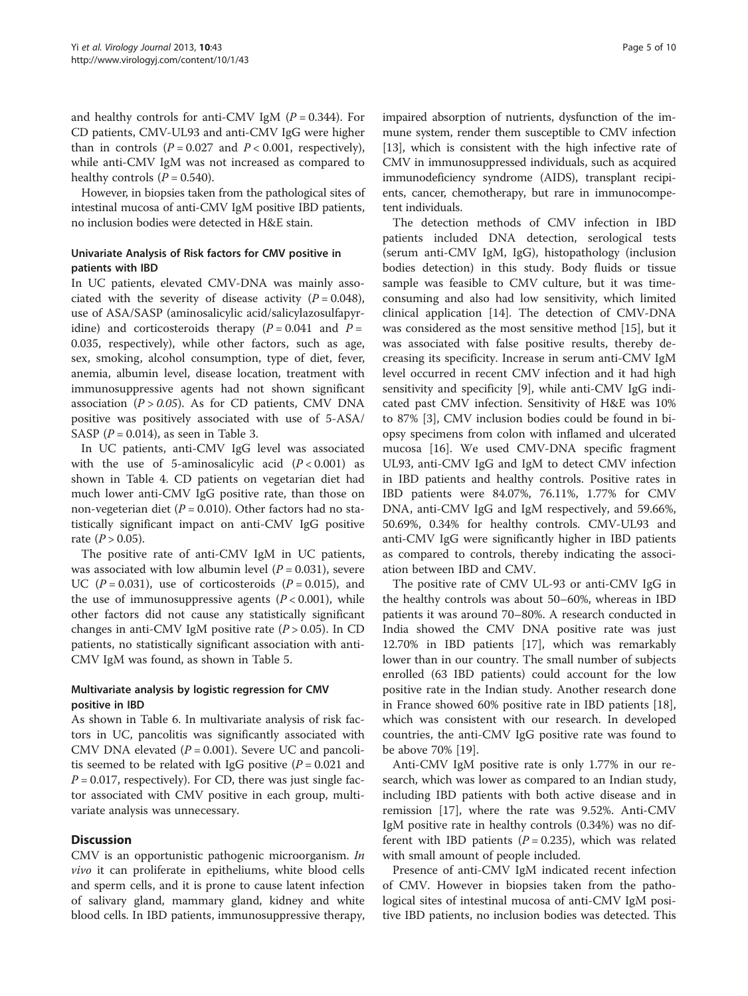and healthy controls for anti-CMV IgM  $(P = 0.344)$ . For CD patients, CMV-UL93 and anti-CMV IgG were higher than in controls  $(P = 0.027$  and  $P < 0.001$ , respectively), while anti-CMV IgM was not increased as compared to healthy controls  $(P = 0.540)$ .

However, in biopsies taken from the pathological sites of intestinal mucosa of anti-CMV IgM positive IBD patients, no inclusion bodies were detected in H&E stain.

# Univariate Analysis of Risk factors for CMV positive in patients with IBD

In UC patients, elevated CMV-DNA was mainly associated with the severity of disease activity  $(P = 0.048)$ , use of ASA/SASP (aminosalicylic acid/salicylazosulfapyridine) and corticosteroids therapy  $(P = 0.041$  and  $P =$ 0.035, respectively), while other factors, such as age, sex, smoking, alcohol consumption, type of diet, fever, anemia, albumin level, disease location, treatment with immunosuppressive agents had not shown significant association  $(P > 0.05)$ . As for CD patients, CMV DNA positive was positively associated with use of 5-ASA/ SASP ( $P = 0.014$ ), as seen in Table [3.](#page-5-0)

In UC patients, anti-CMV IgG level was associated with the use of 5-aminosalicylic acid  $(P < 0.001)$  as shown in Table [4](#page-6-0). CD patients on vegetarian diet had much lower anti-CMV IgG positive rate, than those on non-vegeterian diet ( $P = 0.010$ ). Other factors had no statistically significant impact on anti-CMV IgG positive rate  $(P > 0.05)$ .

The positive rate of anti-CMV IgM in UC patients, was associated with low albumin level  $(P = 0.031)$ , severe UC ( $P = 0.031$ ), use of corticosteroids ( $P = 0.015$ ), and the use of immunosuppressive agents  $(P < 0.001)$ , while other factors did not cause any statistically significant changes in anti-CMV IgM positive rate  $(P > 0.05)$ . In CD patients, no statistically significant association with anti-CMV IgM was found, as shown in Table [5.](#page-7-0)

# Multivariate analysis by logistic regression for CMV positive in IBD

As shown in Table [6.](#page-8-0) In multivariate analysis of risk factors in UC, pancolitis was significantly associated with CMV DNA elevated  $(P = 0.001)$ . Severe UC and pancolitis seemed to be related with IgG positive  $(P = 0.021$  and  $P = 0.017$ , respectively). For CD, there was just single factor associated with CMV positive in each group, multivariate analysis was unnecessary.

# **Discussion**

CMV is an opportunistic pathogenic microorganism. In vivo it can proliferate in epitheliums, white blood cells and sperm cells, and it is prone to cause latent infection of salivary gland, mammary gland, kidney and white blood cells. In IBD patients, immunosuppressive therapy, impaired absorption of nutrients, dysfunction of the immune system, render them susceptible to CMV infection [[13](#page-9-0)], which is consistent with the high infective rate of CMV in immunosuppressed individuals, such as acquired immunodeficiency syndrome (AIDS), transplant recipients, cancer, chemotherapy, but rare in immunocompetent individuals.

The detection methods of CMV infection in IBD patients included DNA detection, serological tests (serum anti-CMV IgM, IgG), histopathology (inclusion bodies detection) in this study. Body fluids or tissue sample was feasible to CMV culture, but it was timeconsuming and also had low sensitivity, which limited clinical application [\[14](#page-9-0)]. The detection of CMV-DNA was considered as the most sensitive method [[15](#page-9-0)], but it was associated with false positive results, thereby decreasing its specificity. Increase in serum anti-CMV IgM level occurred in recent CMV infection and it had high sensitivity and specificity [\[9](#page-9-0)], while anti-CMV IgG indicated past CMV infection. Sensitivity of H&E was 10% to 87% [[3\]](#page-8-0), CMV inclusion bodies could be found in biopsy specimens from colon with inflamed and ulcerated mucosa [\[16](#page-9-0)]. We used CMV-DNA specific fragment UL93, anti-CMV IgG and IgM to detect CMV infection in IBD patients and healthy controls. Positive rates in IBD patients were 84.07%, 76.11%, 1.77% for CMV DNA, anti-CMV IgG and IgM respectively, and 59.66%, 50.69%, 0.34% for healthy controls. CMV-UL93 and anti-CMV IgG were significantly higher in IBD patients as compared to controls, thereby indicating the association between IBD and CMV.

The positive rate of CMV UL-93 or anti-CMV IgG in the healthy controls was about 50–60%, whereas in IBD patients it was around 70–80%. A research conducted in India showed the CMV DNA positive rate was just 12.70% in IBD patients [[17\]](#page-9-0), which was remarkably lower than in our country. The small number of subjects enrolled (63 IBD patients) could account for the low positive rate in the Indian study. Another research done in France showed 60% positive rate in IBD patients [\[18](#page-9-0)], which was consistent with our research. In developed countries, the anti-CMV IgG positive rate was found to be above 70% [\[19](#page-9-0)].

Anti-CMV IgM positive rate is only 1.77% in our research, which was lower as compared to an Indian study, including IBD patients with both active disease and in remission [[17\]](#page-9-0), where the rate was 9.52%. Anti-CMV IgM positive rate in healthy controls (0.34%) was no different with IBD patients ( $P = 0.235$ ), which was related with small amount of people included.

Presence of anti-CMV IgM indicated recent infection of CMV. However in biopsies taken from the pathological sites of intestinal mucosa of anti-CMV IgM positive IBD patients, no inclusion bodies was detected. This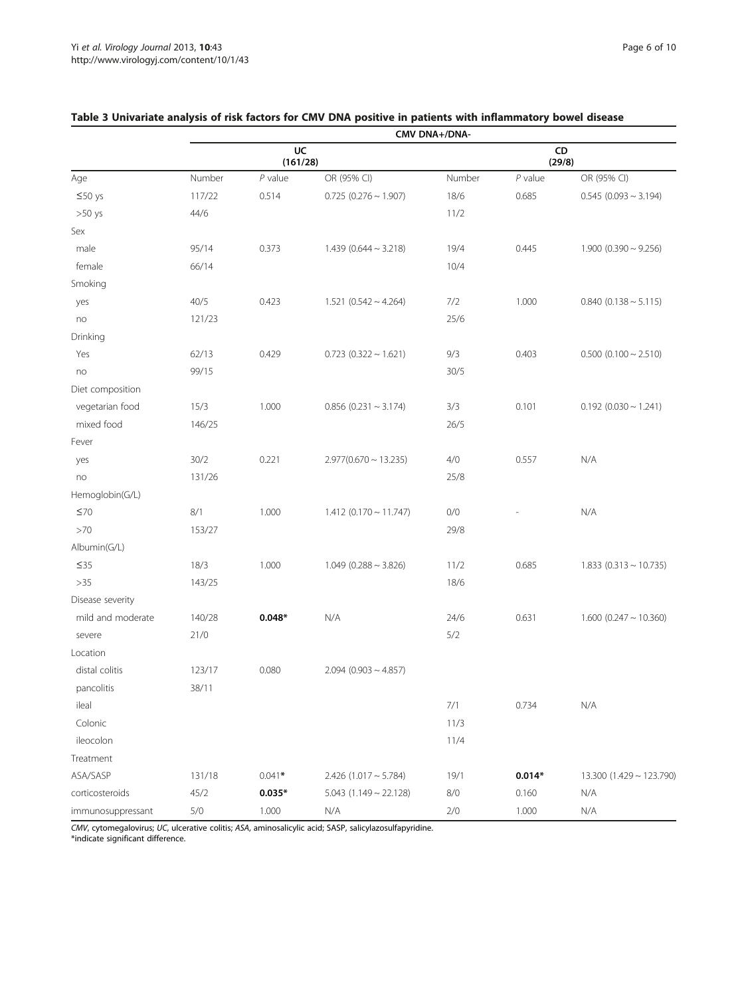|                   | CMV DNA+/DNA-  |           |                            |              |           |                              |
|-------------------|----------------|-----------|----------------------------|--------------|-----------|------------------------------|
|                   | UC<br>(161/28) |           |                            | CD<br>(29/8) |           |                              |
| Age               | Number         | $P$ value | OR (95% CI)                | Number       | $P$ value | OR (95% CI)                  |
| $≤50$ ys          | 117/22         | 0.514     | $0.725(0.276 \sim 1.907)$  | 18/6         | 0.685     | $0.545(0.093 \sim 3.194)$    |
| $>50$ ys          | 44/6           |           |                            | 11/2         |           |                              |
| Sex               |                |           |                            |              |           |                              |
| male              | 95/14          | 0.373     | $1.439(0.644 \sim 3.218)$  | 19/4         | 0.445     | $1.900$ (0.390 ~ 9.256)      |
| female            | 66/14          |           |                            | 10/4         |           |                              |
| Smoking           |                |           |                            |              |           |                              |
| yes               | 40/5           | 0.423     | $1.521(0.542 \sim 4.264)$  | 7/2          | 1.000     | $0.840(0.138 \sim 5.115)$    |
| no                | 121/23         |           |                            | 25/6         |           |                              |
| Drinking          |                |           |                            |              |           |                              |
| Yes               | 62/13          | 0.429     | $0.723$ (0.322 ~ 1.621)    | 9/3          | 0.403     | $0.500$ (0.100 $\sim$ 2.510) |
| no                | 99/15          |           |                            | 30/5         |           |                              |
| Diet composition  |                |           |                            |              |           |                              |
| vegetarian food   | 15/3           | 1.000     | $0.856$ (0.231 ~ 3.174)    | 3/3          | 0.101     | $0.192$ (0.030 ~ 1.241)      |
| mixed food        | 146/25         |           |                            | 26/5         |           |                              |
| Fever             |                |           |                            |              |           |                              |
| yes               | 30/2           | 0.221     | $2.977(0.670 \sim 13.235)$ | 4/0          | 0.557     | N/A                          |
| no                | 131/26         |           |                            | 25/8         |           |                              |
| Hemoglobin(G/L)   |                |           |                            |              |           |                              |
| ≤70               | 8/1            | 1.000     | $1.412(0.170 \sim 11.747)$ | 0/0          |           | N/A                          |
| >70               | 153/27         |           |                            | 29/8         |           |                              |
| Albumin(G/L)      |                |           |                            |              |           |                              |
| $\leq$ 35         | 18/3           | 1.000     | $1.049(0.288 \sim 3.826)$  | 11/2         | 0.685     | $1.833$ (0.313 ~ 10.735)     |
| $>35$             | 143/25         |           |                            | 18/6         |           |                              |
| Disease severity  |                |           |                            |              |           |                              |
| mild and moderate | 140/28         | $0.048*$  | N/A                        | 24/6         | 0.631     | $1.600$ (0.247 ~ 10.360)     |
| severe            | 21/0           |           |                            | 5/2          |           |                              |
| Location          |                |           |                            |              |           |                              |
| distal colitis    | 123/17         | 0.080     | $2.094(0.903 \sim 4.857)$  |              |           |                              |
| pancolitis        | 38/11          |           |                            |              |           |                              |
| ileal             |                |           |                            | 7/1          | 0.734     | N/A                          |
| Colonic           |                |           |                            | 11/3         |           |                              |
| ileocolon         |                |           |                            | 11/4         |           |                              |
| Treatment         |                |           |                            |              |           |                              |
| ASA/SASP          | 131/18         | $0.041*$  | $2.426(1.017 - 5.784)$     | 19/1         | $0.014*$  | $13.300(1.429 \sim 123.790)$ |
| corticosteroids   | 45/2           | $0.035*$  | $5.043$ (1.149 ~ 22.128)   | 8/0          | 0.160     | N/A                          |
| immunosuppressant | $5/0$          | 1.000     | N/A                        | 2/0          | 1.000     | N/A                          |

# <span id="page-5-0"></span>Table 3 Univariate analysis of risk factors for CMV DNA positive in patients with inflammatory bowel disease

CMV, cytomegalovirus; UC, ulcerative colitis; ASA, aminosalicylic acid; SASP, salicylazosulfapyridine. \*indicate significant difference.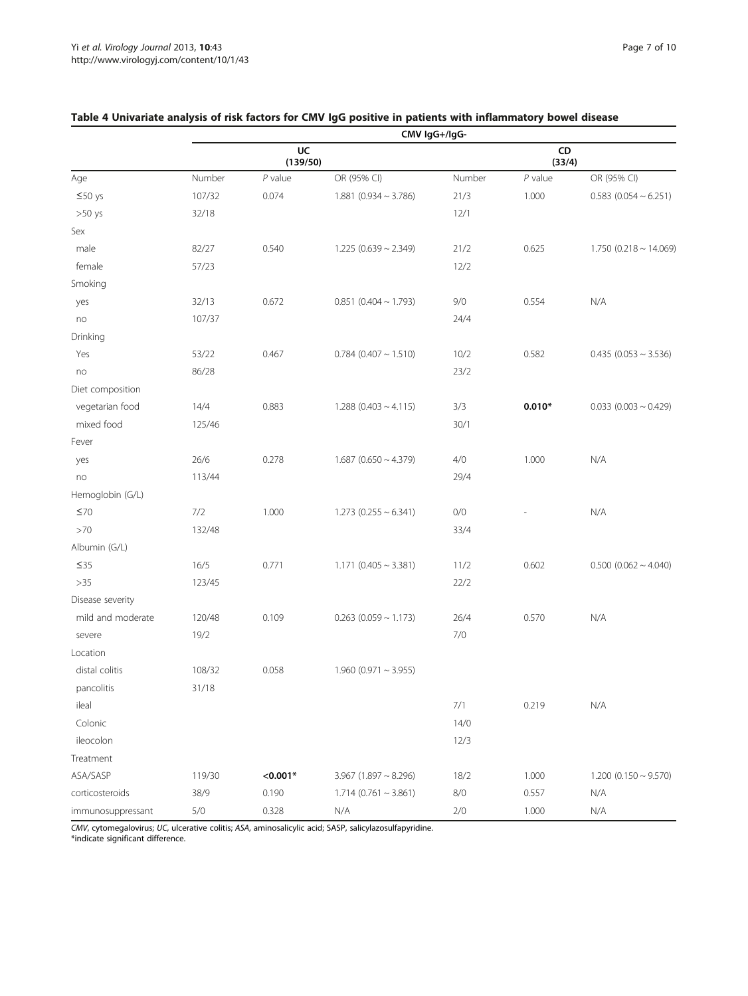|                   | CMV IgG+/IgG- |                |                              |        |              |                            |
|-------------------|---------------|----------------|------------------------------|--------|--------------|----------------------------|
|                   |               | UC<br>(139/50) |                              |        | CD<br>(33/4) |                            |
| Age               | Number        | $P$ value      | OR (95% CI)                  | Number | $P$ value    | OR (95% CI)                |
| $\leq 50$ ys      | 107/32        | 0.074          | $1.881$ (0.934 ~ 3.786)      | 21/3   | 1.000        | $0.583$ (0.054 ~ 6.251)    |
| $>50$ ys          | 32/18         |                |                              | 12/1   |              |                            |
| Sex               |               |                |                              |        |              |                            |
| male              | 82/27         | 0.540          | $1.225(0.639 \sim 2.349)$    | 21/2   | 0.625        | $1.750(0.218 \sim 14.069)$ |
| female            | 57/23         |                |                              | 12/2   |              |                            |
| Smoking           |               |                |                              |        |              |                            |
| yes               | 32/13         | 0.672          | $0.851$ (0.404 ~ 1.793)      | 9/0    | 0.554        | N/A                        |
| no                | 107/37        |                |                              | 24/4   |              |                            |
| Drinking          |               |                |                              |        |              |                            |
| Yes               | 53/22         | 0.467          | $0.784$ (0.407 ~ 1.510)      | 10/2   | 0.582        | $0.435$ (0.053 ~ 3.536)    |
| no                | 86/28         |                |                              | 23/2   |              |                            |
| Diet composition  |               |                |                              |        |              |                            |
| vegetarian food   | 14/4          | 0.883          | $1.288$ (0.403 ~ 4.115)      | 3/3    | $0.010*$     | $0.033$ (0.003 ~ 0.429)    |
| mixed food        | 125/46        |                |                              | 30/1   |              |                            |
| Fever             |               |                |                              |        |              |                            |
| yes               | 26/6          | 0.278          | $1.687$ (0.650 $\sim$ 4.379) | 4/0    | 1.000        | N/A                        |
| no                | 113/44        |                |                              | 29/4   |              |                            |
| Hemoglobin (G/L)  |               |                |                              |        |              |                            |
| $\leq 70$         | 7/2           | 1.000          | $1.273$ (0.255 ~ 6.341)      | 0/0    |              | N/A                        |
| >70               | 132/48        |                |                              | 33/4   |              |                            |
| Albumin (G/L)     |               |                |                              |        |              |                            |
| $\leq$ 35         | 16/5          | 0.771          | $1.171$ (0.405 ~ 3.381)      | 11/2   | 0.602        | $0.500$ (0.062 ~ 4.040)    |
| $>35$             | 123/45        |                |                              | 22/2   |              |                            |
| Disease severity  |               |                |                              |        |              |                            |
| mild and moderate | 120/48        | 0.109          | $0.263$ (0.059 ~ 1.173)      | 26/4   | 0.570        | N/A                        |
| severe            | 19/2          |                |                              | 7/0    |              |                            |
| Location          |               |                |                              |        |              |                            |
| distal colitis    | 108/32        | 0.058          | $1.960$ (0.971 ~ 3.955)      |        |              |                            |
| pancolitis        | 31/18         |                |                              |        |              |                            |
| ileal             |               |                |                              | 7/1    | 0.219        | N/A                        |
| Colonic           |               |                |                              | 14/0   |              |                            |
| ileocolon         |               |                |                              | 12/3   |              |                            |
| Treatment         |               |                |                              |        |              |                            |
| ASA/SASP          | 119/30        | $< 0.001*$     | $3.967$ (1.897 ~ 8.296)      | 18/2   | 1.000        | $1.200(0.150 \sim 9.570)$  |
| corticosteroids   | 38/9          | 0.190          | $1.714(0.761 \sim 3.861)$    | 8/0    | 0.557        | N/A                        |
| immunosuppressant | $5/0$         | 0.328          | N/A                          | 2/0    | 1.000        | N/A                        |

# <span id="page-6-0"></span>Table 4 Univariate analysis of risk factors for CMV IgG positive in patients with inflammatory bowel disease

CMV, cytomegalovirus; UC, ulcerative colitis; ASA, aminosalicylic acid; SASP, salicylazosulfapyridine. \*indicate significant difference.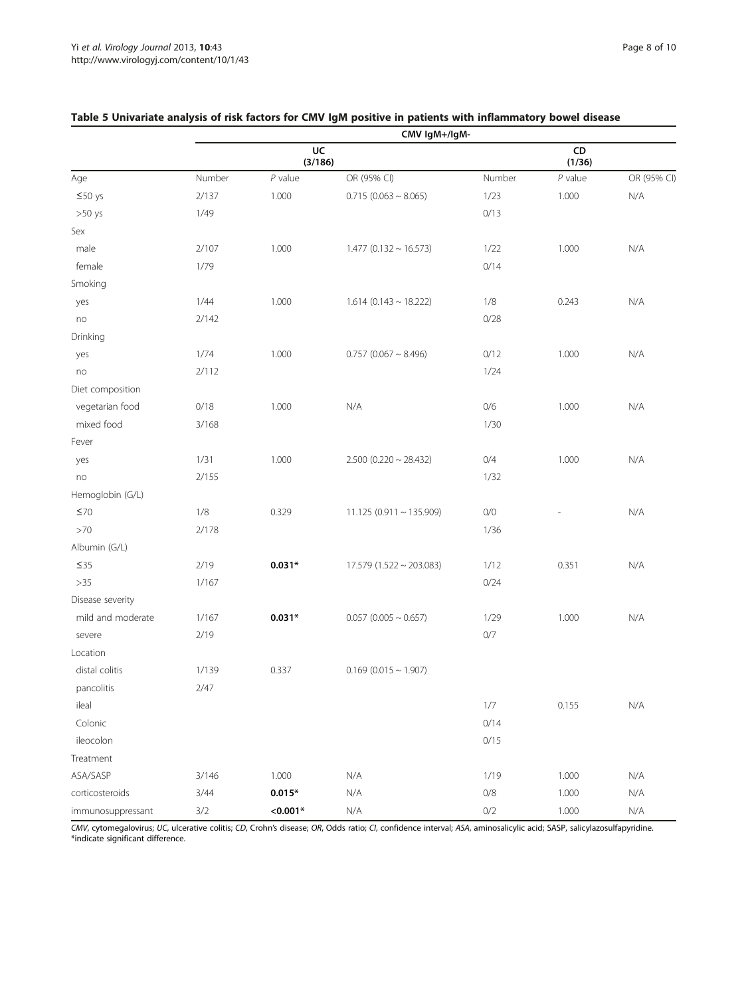|                   | CMV IgM+/IgM- |               |                              |        |              |             |
|-------------------|---------------|---------------|------------------------------|--------|--------------|-------------|
|                   |               | UC<br>(3/186) |                              |        | CD<br>(1/36) |             |
| Age               | Number        | $P$ value     | OR (95% CI)                  | Number | $P$ value    | OR (95% CI) |
| $\leq 50$ ys      | 2/137         | 1.000         | $0.715(0.063 \sim 8.065)$    | 1/23   | 1.000        | N/A         |
| $>50$ ys          | 1/49          |               |                              | 0/13   |              |             |
| Sex               |               |               |                              |        |              |             |
| male              | 2/107         | 1.000         | $1.477(0.132 \sim 16.573)$   | 1/22   | 1.000        | N/A         |
| female            | 1/79          |               |                              | 0/14   |              |             |
| Smoking           |               |               |                              |        |              |             |
| yes               | 1/44          | 1.000         | $1.614(0.143 \sim 18.222)$   | 1/8    | 0.243        | N/A         |
| no                | 2/142         |               |                              | 0/28   |              |             |
| Drinking          |               |               |                              |        |              |             |
| yes               | 1/74          | 1.000         | $0.757$ (0.067 ~ 8.496)      | 0/12   | 1.000        | N/A         |
| no                | 2/112         |               |                              | 1/24   |              |             |
| Diet composition  |               |               |                              |        |              |             |
| vegetarian food   | 0/18          | 1.000         | N/A                          | 0/6    | 1.000        | N/A         |
| mixed food        | 3/168         |               |                              | 1/30   |              |             |
| Fever             |               |               |                              |        |              |             |
| yes               | 1/31          | 1.000         | $2.500$ (0.220 ~ 28.432)     | 0/4    | 1.000        | N/A         |
| no                | 2/155         |               |                              | 1/32   |              |             |
| Hemoglobin (G/L)  |               |               |                              |        |              |             |
| $\leq 70$         | 1/8           | 0.329         | $11.125(0.911 \sim 135.909)$ | 0/0    |              | N/A         |
| $>70$             | 2/178         |               |                              | 1/36   |              |             |
| Albumin (G/L)     |               |               |                              |        |              |             |
| $\leq$ 35         | 2/19          | $0.031*$      | $17.579(1.522 \sim 203.083)$ | 1/12   | 0.351        | N/A         |
| $>35$             | 1/167         |               |                              | 0/24   |              |             |
| Disease severity  |               |               |                              |        |              |             |
| mild and moderate | 1/167         | $0.031*$      | $0.057$ (0.005 ~ 0.657)      | 1/29   | 1.000        | N/A         |
| severe            | 2/19          |               |                              | $0/7$  |              |             |
| Location          |               |               |                              |        |              |             |
| distal colitis    | 1/139         | 0.337         | $0.169(0.015 \sim 1.907)$    |        |              |             |
| pancolitis        | 2/47          |               |                              |        |              |             |
| ileal             |               |               |                              | 1/7    | 0.155        | N/A         |
| Colonic           |               |               |                              | 0/14   |              |             |
| ileocolon         |               |               |                              | 0/15   |              |             |
| Treatment         |               |               |                              |        |              |             |
| ASA/SASP          | 3/146         | 1.000         | N/A                          | 1/19   | 1.000        | N/A         |
| corticosteroids   | 3/44          | $0.015*$      | N/A                          | $0/8$  | 1.000        | N/A         |
| immunosuppressant | $3/2$         | $< 0.001*$    | N/A                          | 0/2    | 1.000        | N/A         |

# <span id="page-7-0"></span>Table 5 Univariate analysis of risk factors for CMV IgM positive in patients with inflammatory bowel disease

CMV, cytomegalovirus; UC, ulcerative colitis; CD, Crohn's disease; OR, Odds ratio; CI, confidence interval; ASA, aminosalicylic acid; SASP, salicylazosulfapyridine. \*indicate significant difference.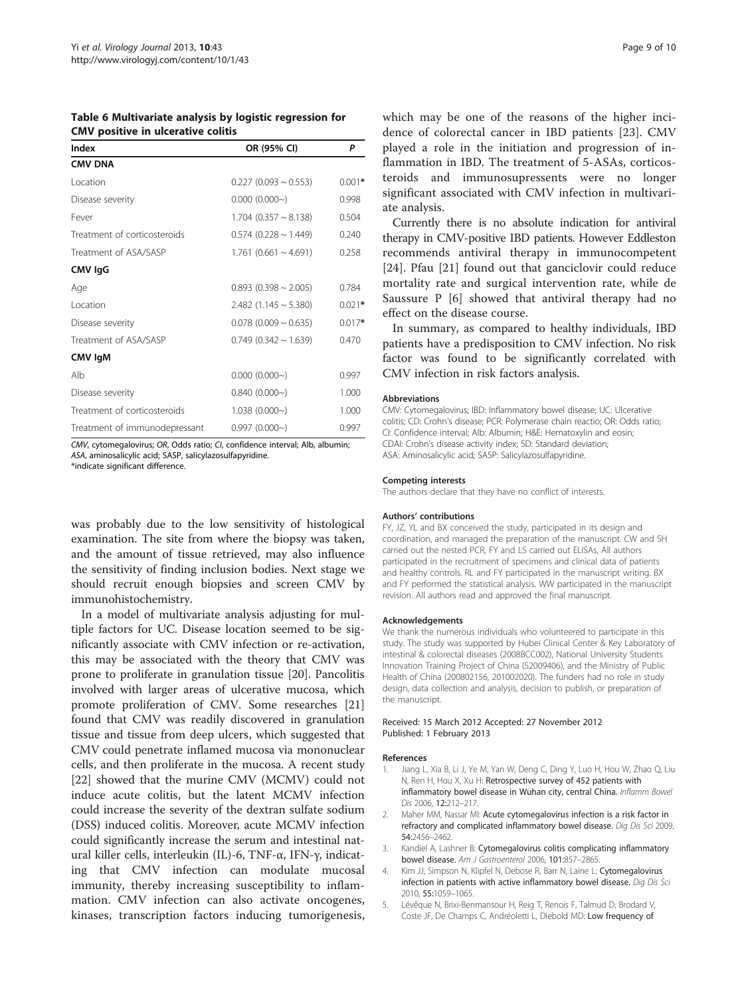<span id="page-8-0"></span>Table 6 Multivariate analysis by logistic regression for CMV positive in ulcerative colitis

| Index                         | OR (95% CI)                  | Ρ        |  |
|-------------------------------|------------------------------|----------|--|
| <b>CMV DNA</b>                |                              |          |  |
| Location                      | $0.227$ (0.093 ~ 0.553)      | $0.001*$ |  |
| Disease severity              | $0.000(0.000-\)$             | 0.998    |  |
| Fever                         | $1.704$ (0.357 $\sim$ 8.138) | 0.504    |  |
| Treatment of corticosteroids  | $0.574$ (0.228 ~ 1.449)      | 0.240    |  |
| Treatment of ASA/SASP         | $1.761$ (0.661 ~ 4.691)      | 0.258    |  |
| CMV IgG                       |                              |          |  |
| Age                           | $0.893$ (0.398 ~ 2.005)      | 0.784    |  |
| Location                      | $2.482$ (1.145 ~ 5.380)      | $0.021*$ |  |
| Disease severity              | $0.078$ (0.009 ~ 0.635)      | $0.017*$ |  |
| Treatment of ASA/SASP         | $0.749$ (0.342 ~ 1.639)      | 0.470    |  |
| CMV IgM                       |                              |          |  |
| Alb                           | $0.000(0.000-\)$             | 0.997    |  |
| Disease severity              | 0.840(0.000)                 | 1.000    |  |
| Treatment of corticosteroids  | 1.038(0.000)                 | 1.000    |  |
| Treatment of immunodepressant | $0.997(0.000-\)$             | 0.997    |  |

CMV, cytomegalovirus; OR, Odds ratio; CI, confidence interval; Alb, albumin; ASA, aminosalicylic acid; SASP, salicylazosulfapyridine.

\*indicate significant difference.

was probably due to the low sensitivity of histological examination. The site from where the biopsy was taken, and the amount of tissue retrieved, may also influence the sensitivity of finding inclusion bodies. Next stage we should recruit enough biopsies and screen CMV by immunohistochemistry.

In a model of multivariate analysis adjusting for multiple factors for UC. Disease location seemed to be significantly associate with CMV infection or re-activation, this may be associated with the theory that CMV was prone to proliferate in granulation tissue [\[20](#page-9-0)]. Pancolitis involved with larger areas of ulcerative mucosa, which promote proliferation of CMV. Some researches [[21](#page-9-0)] found that CMV was readily discovered in granulation tissue and tissue from deep ulcers, which suggested that CMV could penetrate inflamed mucosa via mononuclear cells, and then proliferate in the mucosa. A recent study [[22\]](#page-9-0) showed that the murine CMV (MCMV) could not induce acute colitis, but the latent MCMV infection could increase the severity of the dextran sulfate sodium (DSS) induced colitis. Moreover, acute MCMV infection could significantly increase the serum and intestinal natural killer cells, interleukin (IL)-6, TNF-α, IFN-γ, indicating that CMV infection can modulate mucosal immunity, thereby increasing susceptibility to inflammation. CMV infection can also activate oncogenes, kinases, transcription factors inducing tumorigenesis,

which may be one of the reasons of the higher incidence of colorectal cancer in IBD patients [[23](#page-9-0)]. CMV played a role in the initiation and progression of inflammation in IBD. The treatment of 5-ASAs, corticosteroids and immunosupressents were no longer significant associated with CMV infection in multivariate analysis.

Currently there is no absolute indication for antiviral therapy in CMV-positive IBD patients. However Eddleston recommends antiviral therapy in immunocompetent [[24\]](#page-9-0). Pfau [[21](#page-9-0)] found out that ganciclovir could reduce mortality rate and surgical intervention rate, while de Saussure P [\[6](#page-9-0)] showed that antiviral therapy had no effect on the disease course.

In summary, as compared to healthy individuals, IBD patients have a predisposition to CMV infection. No risk factor was found to be significantly correlated with CMV infection in risk factors analysis.

#### Abbreviations

CMV: Cytomegalovirus; IBD: Inflammatory bowel disease; UC: Ulcerative colitis; CD: Crohn's disease; PCR: Polymerase chain reactio; OR: Odds ratio; CI: Confidence interval; Alb: Albumin; H&E: Hematoxylin and eosin; CDAI: Crohn's disease activity index; SD: Standard deviation; ASA: Aminosalicylic acid; SASP: Salicylazosulfapyridine.

#### Competing interests

The authors declare that they have no conflict of interests.

#### Authors' contributions

FY, JZ, YL and BX conceived the study, participated in its design and coordination, and managed the preparation of the manuscript. CW and SH carried out the nested PCR, FY and LS carried out ELISAs, All authors participated in the recruitment of specimens and clinical data of patients and healthy controls. RL and FY participated in the manuscript writing. BX and FY performed the statistical analysis. WW participated in the manuscript revision. All authors read and approved the final manuscript.

#### Acknowledgements

We thank the numerous individuals who volunteered to participate in this study. The study was supported by Hubei Clinical Center & Key Laboratory of intestinal & colorectal diseases (2008BCC002), National University Students Innovation Training Project of China (S2009406), and the Ministry of Public Health of China (200802156, 201002020). The funders had no role in study design, data collection and analysis, decision to publish, or preparation of the manuscript.

#### Received: 15 March 2012 Accepted: 27 November 2012 Published: 1 February 2013

#### References

- 1. Jiang L, Xia B, Li J, Ye M, Yan W, Deng C, Ding Y, Luo H, Hou W, Zhao Q, Liu N, Ren H, Hou X, Xu H: Retrospective survey of 452 patients with inflammatory bowel disease in Wuhan city, central China. Inflamm Bowel Dis 2006, 12:212–217.
- 2. Maher MM, Nassar MI: Acute cytomegalovirus infection is a risk factor in refractory and complicated inflammatory bowel disease. Dig Dis Sci 2009, 54:2456–2462.
- 3. Kandiel A, Lashner B: Cytomegalovirus colitis complicating inflammatory bowel disease. Am J Gastroenterol 2006, 101:857-2865.
- 4. Kim JJ, Simpson N, Klipfel N, Debose R, Barr N, Laine L: Cytomegalovirus infection in patients with active inflammatory bowel disease. Dig Dis Sci 2010, 55:1059–1065.
- 5. Lévêque N, Brixi-Benmansour H, Reig T, Renois F, Talmud D, Brodard V, Coste JF, De Champs C, Andréoletti L, Diebold MD: Low frequency of